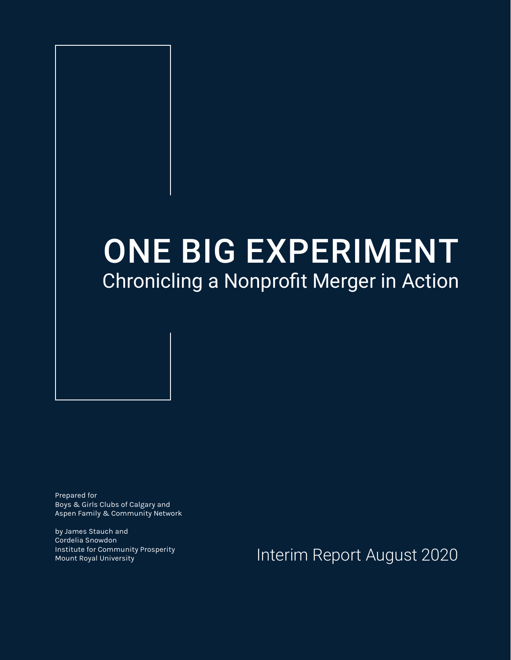## ONE BIG EXPERIMENT Chronicling a Nonprofit Merger in Action

Prepared for Boys & Girls Clubs of Calgary and Aspen Family & Community Network

by James Stauch and Cordelia Snowdon Institute for Community Prosperity

Institute for Community Prosperity **Interim Report August 2020**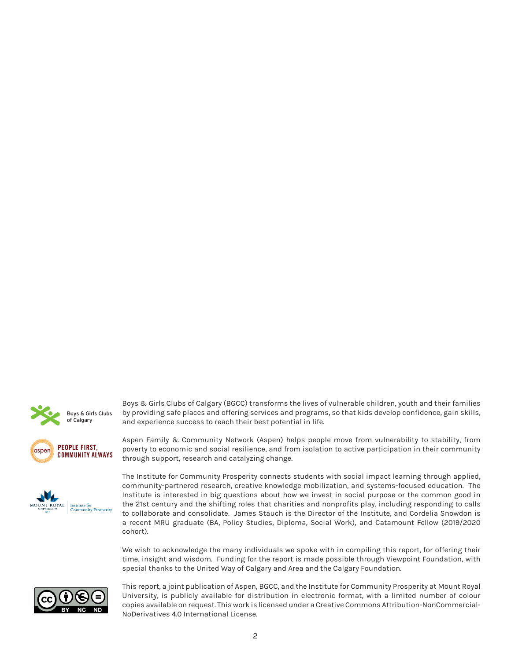





Boys & Girls Clubs of Calgary (BGCC) transforms the lives of vulnerable children, youth and their families by providing safe places and offering services and programs, so that kids develop confidence, gain skills,



The Institute for Community Prosperity connects students with social impact learning through applied, community-partnered research, creative knowledge mobilization, and systems-focused education. The Institute is interested in big questions about how we invest in social purpose or the common good in the 21st century and the shifting roles that charities and nonprofits play, including responding to calls to collaborate and consolidate. James Stauch is the Director of the Institute, and Cordelia Snowdon is a recent MRU graduate (BA, Policy Studies, Diploma, Social Work), and Catamount Fellow (2019/2020 cohort).

We wish to acknowledge the many individuals we spoke with in compiling this report, for offering their time, insight and wisdom. Funding for the report is made possible through Viewpoint Foundation, with special thanks to the United Way of Calgary and Area and the Calgary Foundation.



This report, a joint publication of Aspen, BGCC, and the Institute for Community Prosperity at Mount Royal University, is publicly available for distribution in electronic format, with a limited number of colour copies available on request. This work is licensed under a Creative Commons Attribution-NonCommercial-NoDerivatives 4.0 International License.

and experience success to reach their best potential in life.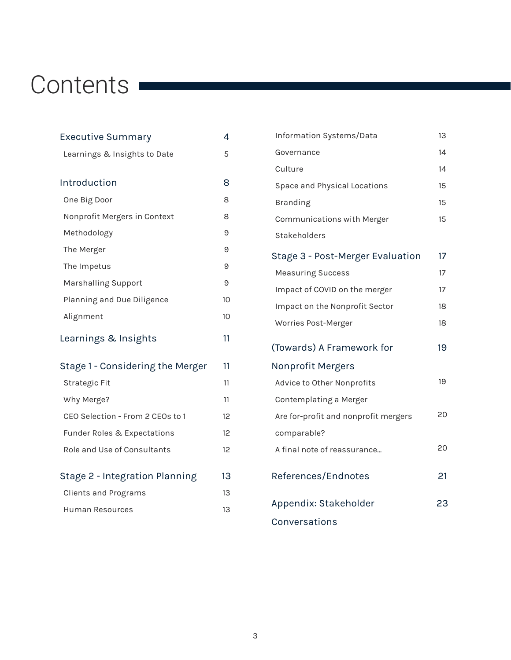# Contents **Contents**

| Executive Summary                      | 4  |
|----------------------------------------|----|
| Learnings & Insights to Date           | 5  |
|                                        |    |
| Introduction                           | 8  |
| One Big Door                           | 8  |
| Nonprofit Mergers in Context           | 8  |
| Methodology                            | 9  |
| The Merger                             | 9  |
| The Impetus                            | 9  |
| Marshalling Support                    | 9  |
| Planning and Due Diligence             | 10 |
| Alignment                              | 10 |
| Learnings & Insights                   | 11 |
| Stage 1 - Considering the Merger       | 11 |
| Strategic Fit                          | 11 |
| Why Merge?                             | 11 |
| CEO Selection - From 2 CEOs to 1       | 12 |
| <b>Funder Roles &amp; Expectations</b> | 12 |
| Role and Use of Consultants            | 12 |
| Stage 2 - Integration Planning         | 13 |
|                                        |    |
| <b>Clients and Programs</b>            | 13 |
| Human Resources                        | 13 |

| Information Systems/Data             | 13 |
|--------------------------------------|----|
| Governance                           | 14 |
| Culture                              | 14 |
| Space and Physical Locations         | 15 |
| <b>Branding</b>                      | 15 |
| Communications with Merger           | 15 |
| <b>Stakeholders</b>                  |    |
| Stage 3 - Post-Merger Evaluation     | 17 |
| <b>Measuring Success</b>             | 17 |
| Impact of COVID on the merger        | 17 |
| Impact on the Nonprofit Sector       | 18 |
| Worries Post-Merger                  | 18 |
| (Towards) A Framework for            | 19 |
| <b>Nonprofit Mergers</b>             |    |
| Advice to Other Nonprofits           | 19 |
| Contemplating a Merger               |    |
| Are for-profit and nonprofit mergers | 20 |
| comparable?                          |    |
| A final note of reassurance          | 20 |
| References/Endnotes                  | 21 |
| Appendix: Stakeholder                | 23 |
| Conversations                        |    |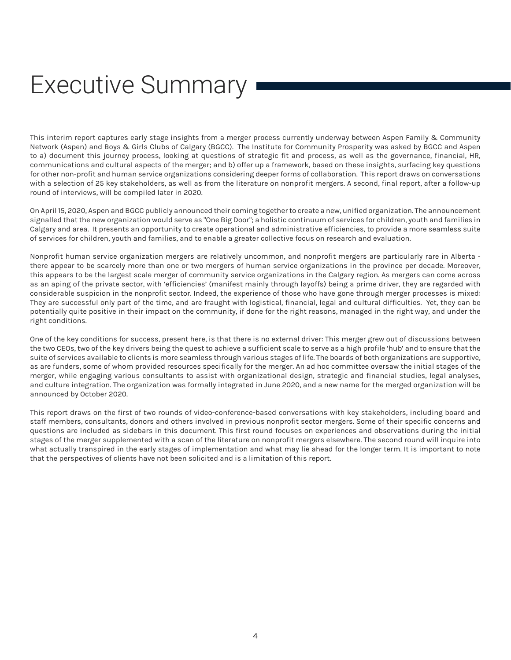# Executive Summary

This interim report captures early stage insights from a merger process currently underway between Aspen Family & Community Network (Aspen) and Boys & Girls Clubs of Calgary (BGCC). The Institute for Community Prosperity was asked by BGCC and Aspen to a) document this journey process, looking at questions of strategic fit and process, as well as the governance, financial, HR, communications and cultural aspects of the merger; and b) offer up a framework, based on these insights, surfacing key questions for other non-profit and human service organizations considering deeper forms of collaboration. This report draws on conversations with a selection of 25 key stakeholders, as well as from the literature on nonprofit mergers. A second, final report, after a follow-up round of interviews, will be compiled later in 2020.

On April 15, 2020, Aspen and BGCC publicly announced their coming together to create a new, unified organization. The announcement signalled that the new organization would serve as "One Big Door"; a holistic continuum of services for children, youth and families in Calgary and area. It presents an opportunity to create operational and administrative efficiencies, to provide a more seamless suite of services for children, youth and families, and to enable a greater collective focus on research and evaluation.

Nonprofit human service organization mergers are relatively uncommon, and nonprofit mergers are particularly rare in Alberta there appear to be scarcely more than one or two mergers of human service organizations in the province per decade. Moreover, this appears to be the largest scale merger of community service organizations in the Calgary region. As mergers can come across as an aping of the private sector, with 'efficiencies' (manifest mainly through layoffs) being a prime driver, they are regarded with considerable suspicion in the nonprofit sector. Indeed, the experience of those who have gone through merger processes is mixed: They are successful only part of the time, and are fraught with logistical, financial, legal and cultural difficulties. Yet, they can be potentially quite positive in their impact on the community, if done for the right reasons, managed in the right way, and under the right conditions.

One of the key conditions for success, present here, is that there is no external driver: This merger grew out of discussions between the two CEOs, two of the key drivers being the quest to achieve a sufficient scale to serve as a high profile 'hub' and to ensure that the suite of services available to clients is more seamless through various stages of life. The boards of both organizations are supportive, as are funders, some of whom provided resources specifically for the merger. An ad hoc committee oversaw the initial stages of the merger, while engaging various consultants to assist with organizational design, strategic and financial studies, legal analyses, and culture integration. The organization was formally integrated in June 2020, and a new name for the merged organization will be announced by October 2020.

This report draws on the first of two rounds of video-conference-based conversations with key stakeholders, including board and staff members, consultants, donors and others involved in previous nonprofit sector mergers. Some of their specific concerns and questions are included as sidebars in this document. This first round focuses on experiences and observations during the initial stages of the merger supplemented with a scan of the literature on nonprofit mergers elsewhere. The second round will inquire into what actually transpired in the early stages of implementation and what may lie ahead for the longer term. It is important to note that the perspectives of clients have not been solicited and is a limitation of this report.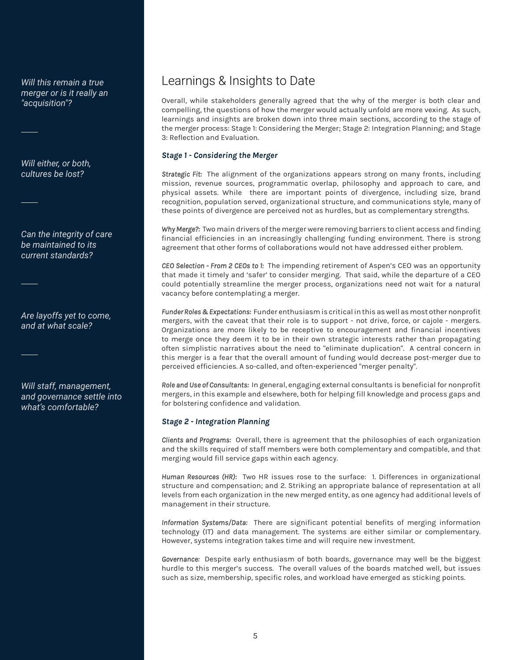*Will this remain a true merger or is it really an "acquisition"?* 

*Will either, or both, cultures be lost?*

*Can the integrity of care be maintained to its current standards?*

*Are layoffs yet to come, and at what scale?*

*Will staff, management, and governance settle into what's comfortable?*

## Learnings & Insights to Date

Overall, while stakeholders generally agreed that the why of the merger is both clear and compelling, the questions of how the merger would actually unfold are more vexing. As such, learnings and insights are broken down into three main sections, according to the stage of the merger process: Stage 1: Considering the Merger; Stage 2: Integration Planning; and Stage 3: Reflection and Evaluation.

#### *Stage 1 - Considering the Merger*

*Strategic Fit:* The alignment of the organizations appears strong on many fronts, including mission, revenue sources, programmatic overlap, philosophy and approach to care, and physical assets. While there are important points of divergence, including size, brand recognition, population served, organizational structure, and communications style, many of these points of divergence are perceived not as hurdles, but as complementary strengths.

*Why Merge?:* Two main drivers of the merger were removing barriers to client access and finding financial efficiencies in an increasingly challenging funding environment. There is strong agreement that other forms of collaborations would not have addressed either problem.

*CEO Selection - From 2 CEOs to 1:* The impending retirement of Aspen's CEO was an opportunity that made it timely and 'safer' to consider merging. That said, while the departure of a CEO could potentially streamline the merger process, organizations need not wait for a natural vacancy before contemplating a merger.

*Funder Roles & Expectations:* Funder enthusiasm is critical in this as well as most other nonprofit mergers, with the caveat that their role is to support - not drive, force, or cajole - mergers. Organizations are more likely to be receptive to encouragement and financial incentives to merge once they deem it to be in their own strategic interests rather than propagating often simplistic narratives about the need to "eliminate duplication". A central concern in this merger is a fear that the overall amount of funding would decrease post-merger due to perceived efficiencies. A so-called, and often-experienced "merger penalty".

*Role and Use of Consultants:* In general, engaging external consultants is beneficial for nonprofit mergers, in this example and elsewhere, both for helping fill knowledge and process gaps and for bolstering confidence and validation.

#### *Stage 2 - Integration Planning*

*Clients and Programs:* Overall, there is agreement that the philosophies of each organization and the skills required of staff members were both complementary and compatible, and that merging would fill service gaps within each agency.

*Human Resources (HR):* Two HR issues rose to the surface: 1. Differences in organizational structure and compensation; and 2. Striking an appropriate balance of representation at all levels from each organization in the new merged entity, as one agency had additional levels of management in their structure.

*Information Systems/Data:* There are significant potential benefits of merging information technology (IT) and data management. The systems are either similar or complementary. However, systems integration takes time and will require new investment.

*Governance:* Despite early enthusiasm of both boards, governance may well be the biggest hurdle to this merger's success. The overall values of the boards matched well, but issues such as size, membership, specific roles, and workload have emerged as sticking points.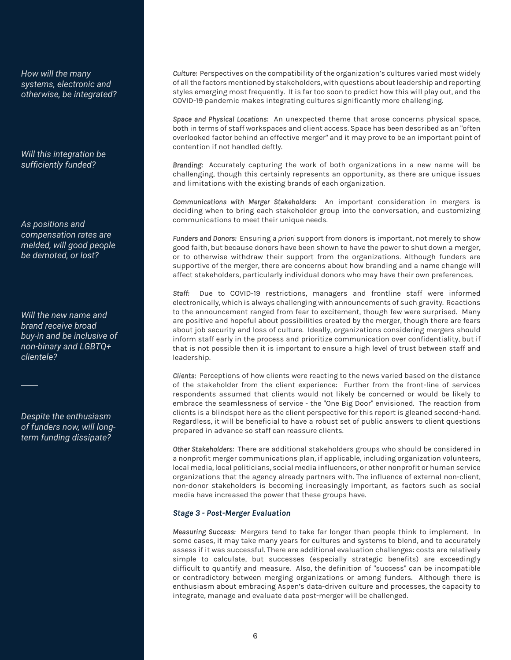*How will the many systems, electronic and otherwise, be integrated?*

*Will this integration be sufficiently funded?*

*As positions and compensation rates are melded, will good people be demoted, or lost?* 

*Will the new name and brand receive broad buy-in and be inclusive of non-binary and LGBTQ+ clientele?*

*Despite the enthusiasm of funders now, will longterm funding dissipate?*

*Culture:* Perspectives on the compatibility of the organization's cultures varied most widely of all the factors mentioned by stakeholders, with questions about leadership and reporting styles emerging most frequently. It is far too soon to predict how this will play out, and the COVID-19 pandemic makes integrating cultures significantly more challenging.

*Space and Physical Locations:* An unexpected theme that arose concerns physical space, both in terms of staff workspaces and client access. Space has been described as an "often overlooked factor behind an effective merger" and it may prove to be an important point of contention if not handled deftly.

*Branding:* Accurately capturing the work of both organizations in a new name will be challenging, though this certainly represents an opportunity, as there are unique issues and limitations with the existing brands of each organization.

*Communications with Merger Stakeholders:* An important consideration in mergers is deciding when to bring each stakeholder group into the conversation, and customizing communications to meet their unique needs.

*Funders and Donors:* Ensuring *a priori* support from donors is important, not merely to show good faith, but because donors have been shown to have the power to shut down a merger, or to otherwise withdraw their support from the organizations. Although funders are supportive of the merger, there are concerns about how branding and a name change will affect stakeholders, particularly individual donors who may have their own preferences.

*Staff:* Due to COVID-19 restrictions, managers and frontline staff were informed electronically, which is always challenging with announcements of such gravity. Reactions to the announcement ranged from fear to excitement, though few were surprised. Many are positive and hopeful about possibilities created by the merger, though there are fears about job security and loss of culture. Ideally, organizations considering mergers should inform staff early in the process and prioritize communication over confidentiality, but if that is not possible then it is important to ensure a high level of trust between staff and leadership.

*Clients:* Perceptions of how clients were reacting to the news varied based on the distance of the stakeholder from the client experience: Further from the front-line of services respondents assumed that clients would not likely be concerned or would be likely to embrace the seamlessness of service - the "One Big Door" envisioned. The reaction from clients is a blindspot here as the client perspective for this report is gleaned second-hand. Regardless, it will be beneficial to have a robust set of public answers to client questions prepared in advance so staff can reassure clients.

*Other Stakeholders:* There are additional stakeholders groups who should be considered in a nonprofit merger communications plan, if applicable, including organization volunteers, local media, local politicians, social media influencers, or other nonprofit or human service organizations that the agency already partners with. The influence of external non-client, non-donor stakeholders is becoming increasingly important, as factors such as social media have increased the power that these groups have.

#### *Stage 3 - Post-Merger Evaluation*

*Measuring Success:* Mergers tend to take far longer than people think to implement. In some cases, it may take many years for cultures and systems to blend, and to accurately assess if it was successful. There are additional evaluation challenges: costs are relatively simple to calculate, but successes (especially strategic benefits) are exceedingly difficult to quantify and measure. Also, the definition of "success" can be incompatible or contradictory between merging organizations or among funders. Although there is enthusiasm about embracing Aspen's data-driven culture and processes, the capacity to integrate, manage and evaluate data post-merger will be challenged.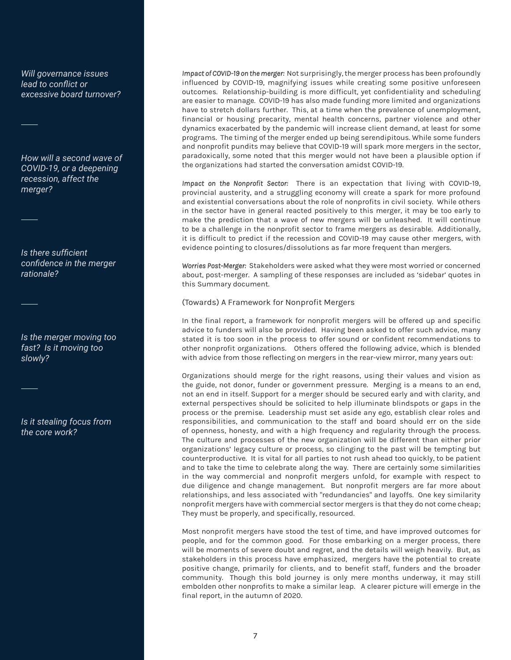*Will governance issues lead to conflict or excessive board turnover?*

*How will a second wave of COVID-19, or a deepening recession, affect the merger?*

*Is there sufficient confidence in the merger rationale?*

*Is the merger moving too fast? Is it moving too slowly?* 

*Is it stealing focus from the core work?*

*Impact of COVID-19 on the merger:* Not surprisingly, the merger process has been profoundly influenced by COVID-19, magnifying issues while creating some positive unforeseen outcomes. Relationship-building is more difficult, yet confidentiality and scheduling are easier to manage. COVID-19 has also made funding more limited and organizations have to stretch dollars further. This, at a time when the prevalence of unemployment, financial or housing precarity, mental health concerns, partner violence and other dynamics exacerbated by the pandemic will increase client demand, at least for some programs. The timing of the merger ended up being serendipitous. While some funders and nonprofit pundits may believe that COVID-19 will spark more mergers in the sector, paradoxically, some noted that this merger would not have been a plausible option if the organizations had started the conversation amidst COVID-19.

*Impact on the Nonprofit Sector:* There is an expectation that living with COVID-19, provincial austerity, and a struggling economy will create a spark for more profound and existential conversations about the role of nonprofits in civil society. While others in the sector have in general reacted positively to this merger, it may be too early to make the prediction that a wave of new mergers will be unleashed. It will continue to be a challenge in the nonprofit sector to frame mergers as desirable. Additionally, it is difficult to predict if the recession and COVID-19 may cause other mergers, with evidence pointing to closures/dissolutions as far more frequent than mergers.

*Worries Post-Merger:* Stakeholders were asked what they were most worried or concerned about, post-merger. A sampling of these responses are included as 'sidebar' quotes in this Summary document.

(Towards) A Framework for Nonprofit Mergers

In the final report, a framework for nonprofit mergers will be offered up and specific advice to funders will also be provided. Having been asked to offer such advice, many stated it is too soon in the process to offer sound or confident recommendations to other nonprofit organizations. Others offered the following advice, which is blended with advice from those reflecting on mergers in the rear-view mirror, many years out:

Organizations should merge for the right reasons, using their values and vision as the guide, not donor, funder or government pressure. Merging is a means to an end, not an end in itself. Support for a merger should be secured early and with clarity, and external perspectives should be solicited to help illuminate blindspots or gaps in the process or the premise. Leadership must set aside any ego, establish clear roles and responsibilities, and communication to the staff and board should err on the side of openness, honesty, and with a high frequency and regularity through the process. The culture and processes of the new organization will be different than either prior organizations' legacy culture or process, so clinging to the past will be tempting but counterproductive. It is vital for all parties to not rush ahead too quickly, to be patient and to take the time to celebrate along the way. There are certainly some similarities in the way commercial and nonprofit mergers unfold, for example with respect to due diligence and change management. But nonprofit mergers are far more about relationships, and less associated with "redundancies" and layoffs. One key similarity nonprofit mergers have with commercial sector mergers is that they do not come cheap; They must be properly, and specifically, resourced.

Most nonprofit mergers have stood the test of time, and have improved outcomes for people, and for the common good. For those embarking on a merger process, there will be moments of severe doubt and regret, and the details will weigh heavily. But, as stakeholders in this process have emphasized, mergers have the potential to create positive change, primarily for clients, and to benefit staff, funders and the broader community. Though this bold journey is only mere months underway, it may still embolden other nonprofits to make a similar leap. A clearer picture will emerge in the final report, in the autumn of 2020.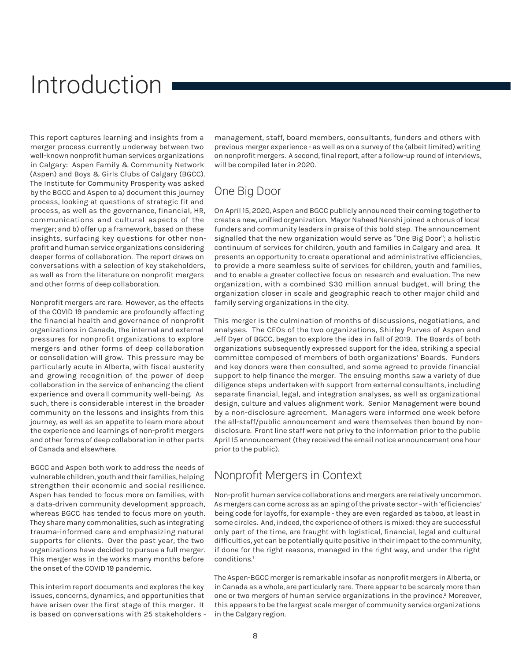## Introduction

This report captures learning and insights from a merger process currently underway between two well-known nonprofit human services organizations in Calgary: Aspen Family & Community Network (Aspen) and Boys & Girls Clubs of Calgary (BGCC). The Institute for Community Prosperity was asked by the BGCC and Aspen to a) document this journey process, looking at questions of strategic fit and process, as well as the governance, financial, HR, communications and cultural aspects of the merger; and b) offer up a framework, based on these insights, surfacing key questions for other nonprofit and human service organizations considering deeper forms of collaboration. The report draws on conversations with a selection of key stakeholders, as well as from the literature on nonprofit mergers and other forms of deep collaboration.

Nonprofit mergers are rare. However, as the effects of the COVID 19 pandemic are profoundly affecting the financial health and governance of nonprofit organizations in Canada, the internal and external pressures for nonprofit organizations to explore mergers and other forms of deep collaboration or consolidation will grow. This pressure may be particularly acute in Alberta, with fiscal austerity and growing recognition of the power of deep collaboration in the service of enhancing the client experience and overall community well-being. As such, there is considerable interest in the broader community on the lessons and insights from this journey, as well as an appetite to learn more about the experience and learnings of non-profit mergers and other forms of deep collaboration in other parts of Canada and elsewhere.

BGCC and Aspen both work to address the needs of vulnerable children, youth and their families, helping strengthen their economic and social resilience. Aspen has tended to focus more on families, with a data-driven community development approach, whereas BGCC has tended to focus more on youth. They share many commonalities, such as integrating trauma-informed care and emphasizing natural supports for clients. Over the past year, the two organizations have decided to pursue a full merger. This merger was in the works many months before the onset of the COVID 19 pandemic.

This interim report documents and explores the key issues, concerns, dynamics, and opportunities that have arisen over the first stage of this merger. It is based on conversations with 25 stakeholders

management, staff, board members, consultants, funders and others with previous merger experience - as well as on a survey of the (albeit limited) writing on nonprofit mergers. A second, final report, after a follow-up round of interviews, will be compiled later in 2020.

#### One Big Door

On April 15, 2020, Aspen and BGCC publicly announced their coming together to create a new, unified organization. Mayor Naheed Nenshi joined a chorus of local funders and community leaders in praise of this bold step. The announcement signalled that the new organization would serve as "One Big Door"; a holistic continuum of services for children, youth and families in Calgary and area. It presents an opportunity to create operational and administrative efficiencies, to provide a more seamless suite of services for children, youth and families, and to enable a greater collective focus on research and evaluation. The new organization, with a combined \$30 million annual budget, will bring the organization closer in scale and geographic reach to other major child and family serving organizations in the city.

This merger is the culmination of months of discussions, negotiations, and analyses. The CEOs of the two organizations, Shirley Purves of Aspen and Jeff Dyer of BGCC, began to explore the idea in fall of 2019. The Boards of both organizations subsequently expressed support for the idea, striking a special committee composed of members of both organizations' Boards. Funders and key donors were then consulted, and some agreed to provide financial support to help finance the merger. The ensuing months saw a variety of due diligence steps undertaken with support from external consultants, including separate financial, legal, and integration analyses, as well as organizational design, culture and values alignment work. Senior Management were bound by a non-disclosure agreement. Managers were informed one week before the all-staff/public announcement and were themselves then bound by nondisclosure. Front line staff were not privy to the information prior to the public April 15 announcement (they received the email notice announcement one hour prior to the public).

#### Nonprofit Mergers in Context

Non-profit human service collaborations and mergers are relatively uncommon. As mergers can come across as an aping of the private sector - with 'efficiencies' being code for layoffs, for example - they are even regarded as taboo, at least in some circles. And, indeed, the experience of others is mixed: they are successful only part of the time, are fraught with logistical, financial, legal and cultural difficulties, yet can be potentially quite positive in their impact to the community, if done for the right reasons, managed in the right way, and under the right conditions.1

The Aspen-BGCC merger is remarkable insofar as nonprofit mergers in Alberta, or in Canada as a whole, are particularly rare. There appear to be scarcely more than one or two mergers of human service organizations in the province.<sup>2</sup> Moreover, this appears to be the largest scale merger of community service organizations in the Calgary region.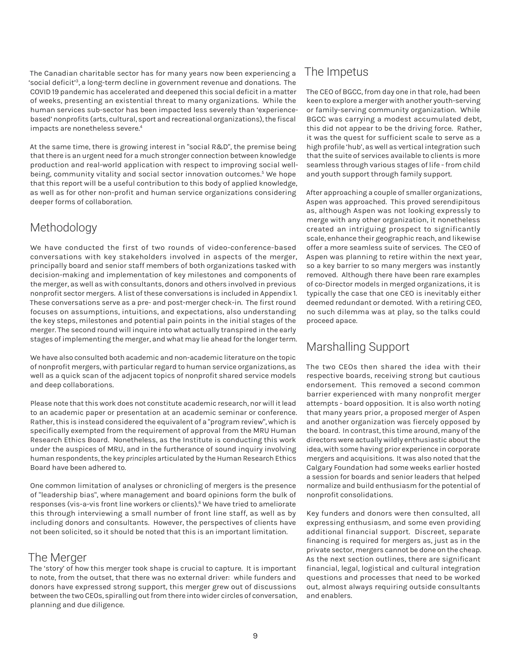The Canadian charitable sector has for many years now been experiencing a 'social deficit'3, a long-term decline in government revenue and donations. The COVID 19 pandemic has accelerated and deepened this social deficit in a matter of weeks, presenting an existential threat to many organizations. While the human services sub-sector has been impacted less severely than 'experiencebased' nonprofits (arts, cultural, sport and recreational organizations), the fiscal impacts are nonetheless severe.<sup>4</sup>

At the same time, there is growing interest in "social R&D", the premise being that there is an urgent need for a much stronger connection between knowledge production and real-world application with respect to improving social wellbeing, community vitality and social sector innovation outcomes.<sup>5</sup> We hope that this report will be a useful contribution to this body of applied knowledge, as well as for other non-profit and human service organizations considering deeper forms of collaboration.

## Methodology

We have conducted the first of two rounds of video-conference-based conversations with key stakeholders involved in aspects of the merger, principally board and senior staff members of both organizations tasked with decision-making and implementation of key milestones and components of the merger, as well as with consultants, donors and others involved in previous nonprofit sector mergers. A list of these conversations is included in Appendix 1. These conversations serve as a pre- and post-merger check-in. The first round focuses on assumptions, intuitions, and expectations, also understanding the key steps, milestones and potential pain points in the initial stages of the merger. The second round will inquire into what actually transpired in the early stages of implementing the merger, and what may lie ahead for the longer term.

We have also consulted both academic and non-academic literature on the topic of nonprofit mergers, with particular regard to human service organizations, as well as a quick scan of the adjacent topics of nonprofit shared service models and deep collaborations.

Please note that this work does not constitute academic research, nor will it lead to an academic paper or presentation at an academic seminar or conference. Rather, this is instead considered the equivalent of a "program review", which is specifically exempted from the requirement of approval from the MRU Human Research Ethics Board. Nonetheless, as the Institute is conducting this work under the auspices of MRU, and in the furtherance of sound inquiry involving human respondents, the key *principles* articulated by the Human Research Ethics Board have been adhered to.

One common limitation of analyses or chronicling of mergers is the presence of "leadership bias", where management and board opinions form the bulk of responses (vis-a-vis front line workers or clients).<sup>6</sup> We have tried to ameliorate this through interviewing a small number of front line staff, as well as by including donors and consultants. However, the perspectives of clients have not been solicited, so it should be noted that this is an important limitation.

#### The Merger

The 'story' of how this merger took shape is crucial to capture. It is important to note, from the outset, that there was no external driver: while funders and donors have expressed strong support, this merger grew out of discussions between the two CEOs, spiralling out from there into wider circles of conversation, planning and due diligence.

### The Impetus

The CEO of BGCC, from day one in that role, had been keen to explore a merger with another youth-serving or family-serving community organization. While BGCC was carrying a modest accumulated debt, this did not appear to be the driving force. Rather, it was the quest for sufficient scale to serve as a high profile 'hub', as well as vertical integration such that the suite of services available to clients is more seamless through various stages of life - from child and youth support through family support.

After approaching a couple of smaller organizations, Aspen was approached. This proved serendipitous as, although Aspen was not looking expressly to merge with any other organization, it nonetheless created an intriguing prospect to significantly scale, enhance their geographic reach, and likewise offer a more seamless suite of services. The CEO of Aspen was planning to retire within the next year, so a key barrier to so many mergers was instantly removed. Although there have been rare examples of co-Director models in merged organizations, it is typically the case that one CEO is inevitably either deemed redundant or demoted. With a retiring CEO, no such dilemma was at play, so the talks could proceed apace.

## Marshalling Support

The two CEOs then shared the idea with their respective boards, receiving strong but cautious endorsement. This removed a second common barrier experienced with many nonprofit merger attempts - board opposition. It is also worth noting that many years prior, a proposed merger of Aspen and another organization was fiercely opposed by the board. In contrast, this time around, many of the directors were actually wildly enthusiastic about the idea, with some having prior experience in corporate mergers and acquisitions. It was also noted that the Calgary Foundation had some weeks earlier hosted a session for boards and senior leaders that helped normalize and build enthusiasm for the potential of nonprofit consolidations.

Key funders and donors were then consulted, all expressing enthusiasm, and some even providing additional financial support. Discreet, separate financing is required for mergers as, just as in the private sector, mergers cannot be done on the cheap. As the next section outlines, there are significant financial, legal, logistical and cultural integration questions and processes that need to be worked out, almost always requiring outside consultants and enablers.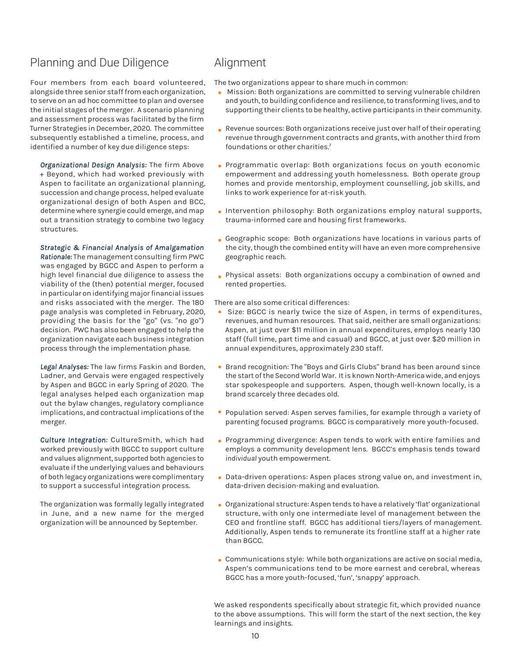#### Planning and Due Diligence

Four members from each board volunteered, alongside three senior staff from each organization, to serve on an ad hoc committee to plan and oversee the initial stages of the merger. A scenario planning and assessment process was facilitated by the firm Turner Strategies in December, 2020. The committee subsequently established a timeline, process, and identified a number of key due diligence steps:

*Organizational Design Analysis:* The firm Above + Beyond, which had worked previously with Aspen to facilitate an organizational planning, succession and change process, helped evaluate organizational design of both Aspen and BCC, determine where synergie could emerge, and map out a transition strategy to combine two legacy structures.

#### *Strategic & Financial Analysis of Amalgamation*

*Rationale:* The management consulting firm PWC was engaged by BGCC and Aspen to perform a high level financial due diligence to assess the viability of the (then) potential merger, focused in particular on identifying major financial issues and risks associated with the merger. The 180 page analysis was completed in February, 2020, providing the basis for the "go" (vs. "no go") decision. PWC has also been engaged to help the organization navigate each business integration process through the implementation phase.

*Legal Analyses:* The law firms Faskin and Borden, Ladner, and Gervais were engaged respectively by Aspen and BGCC in early Spring of 2020. The legal analyses helped each organization map out the bylaw changes, regulatory compliance implications, and contractual implications of the merger.

*Culture Integration:* CultureSmith, which had worked previously with BGCC to support culture and values alignment, supported both agencies to evaluate if the underlying values and behaviours of both legacy organizations were complimentary to support a successful integration process.

The organization was formally legally integrated in June, and a new name for the merged organization will be announced by September.

#### Alignment

The two organizations appear to share much in common:

- Mission: Both organizations are committed to serving vulnerable children and youth, to building confidence and resilience, to transforming lives, and to supporting their clients to be healthy, active participants in their community.
- Revenue sources: Both organizations receive just over half of their operating revenue through government contracts and grants, with another third from foundations or other charities.7
- Programmatic overlap: Both organizations focus on youth economic empowerment and addressing youth homelessness. Both operate group homes and provide mentorship, employment counselling, job skills, and links to work experience for at-risk youth.
- Intervention philosophy: Both organizations employ natural supports, trauma-informed care and housing first frameworks.
- Geographic scope: Both organizations have locations in various parts of the city, though the combined entity will have an even more comprehensive geographic reach.
- Physical assets: Both organizations occupy a combination of owned and rented properties.

There are also some critical differences:

- Size: BGCC is nearly twice the size of Aspen, in terms of expenditures, revenues, and human resources. That said, neither are small organizations: Aspen, at just over \$11 million in annual expenditures, employs nearly 130 staff (full time, part time and casual) and BGCC, at just over \$20 million in annual expenditures, approximately 230 staff.
- Brand recognition: The "Boys and Girls Clubs" brand has been around since the start of the Second World War. It is known North-America wide, and enjoys star spokespeople and supporters. Aspen, though well-known locally, is a brand scarcely three decades old.
- Population served: Aspen serves families, for example through a variety of parenting focused programs. BGCC is comparatively more youth-focused.
- Programming divergence: Aspen tends to work with entire families and employs a community development lens. BGCC's emphasis tends toward *individual* youth empowerment.
- Data-driven operations: Aspen places strong value on, and investment in, data-driven decision-making and evaluation.
- Organizational structure: Aspen tends to have a relatively 'flat' organizational structure, with only one intermediate level of management between the CEO and frontline staff. BGCC has additional tiers/layers of management. Additionally, Aspen tends to remunerate its frontline staff at a higher rate than BGCC.
- Communications style: While both organizations are active on social media, Aspen's communications tend to be more earnest and cerebral, whereas BGCC has a more youth-focused, 'fun', 'snappy' approach.

We asked respondents specifically about strategic fit, which provided nuance to the above assumptions. This will form the start of the next section, the key learnings and insights.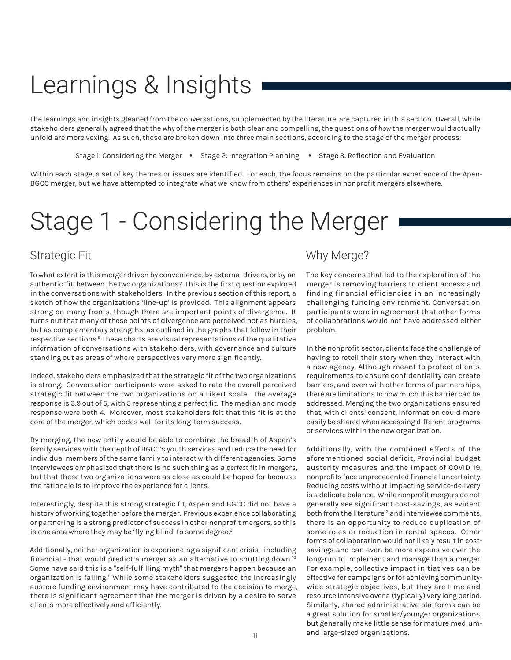## Learnings & Insights

The learnings and insights gleaned from the conversations, supplemented by the literature, are captured in this section. Overall, while stakeholders generally agreed that the *why* of the merger is both clear and compelling, the questions of *how* the merger would actually unfold are more vexing. As such, these are broken down into three main sections, according to the stage of the merger process:

Stage 1: Considering the Merger • Stage 2: Integration Planning • Stage 3: Reflection and Evaluation

Within each stage, a set of key themes or issues are identified. For each, the focus remains on the particular experience of the Apen-BGCC merger, but we have attempted to integrate what we know from others' experiences in nonprofit mergers elsewhere.

## Stage 1 - Considering the Merger

### Strategic Fit

To what extent is this merger driven by convenience, by external drivers, or by an authentic 'fit' between the two organizations? This is the first question explored in the conversations with stakeholders. In the previous section of this report, a sketch of how the organizations 'line-up' is provided. This alignment appears strong on many fronts, though there are important points of divergence. It turns out that many of these points of divergence are perceived not as hurdles, but as complementary strengths, as outlined in the graphs that follow in their respective sections.<sup>8</sup> These charts are visual representations of the qualitative information of conversations with stakeholders, with governance and culture standing out as areas of where perspectives vary more significantly.

Indeed, stakeholders emphasized that the strategic fit of the two organizations is strong. Conversation participants were asked to rate the overall perceived strategic fit between the two organizations on a Likert scale. The average response is 3.9 out of 5, with 5 representing a perfect fit. The median and mode response were both 4. Moreover, most stakeholders felt that this fit is at the core of the merger, which bodes well for its long-term success.

By merging, the new entity would be able to combine the breadth of Aspen's family services with the depth of BGCC's youth services and reduce the need for individual members of the same family to interact with different agencies. Some interviewees emphasized that there is no such thing as a *perfect* fit in mergers, but that these two organizations were as close as could be hoped for because the rationale is to improve the experience for clients.

Interestingly, despite this strong strategic fit, Aspen and BGCC did not have a history of working together before the merger. Previous experience collaborating or partnering is a strong predictor of success in other nonprofit mergers, so this is one area where they may be 'flying blind' to some degree.<sup>9</sup>

Additionally, neither organization is experiencing a significant crisis - including financial - that would predict a merger as an alternative to shutting down.<sup>10</sup> Some have said this is a "self-fulfilling myth" that mergers happen because an organization is failing.<sup>11</sup> While some stakeholders suggested the increasingly austere funding environment may have contributed to the decision to merge, there is significant agreement that the merger is driven by a desire to serve clients more effectively and efficiently.

#### Why Merge?

The key concerns that led to the exploration of the merger is removing barriers to client access and finding financial efficiencies in an increasingly challenging funding environment. Conversation participants were in agreement that other forms of collaborations would not have addressed either problem.

In the nonprofit sector, clients face the challenge of having to retell their story when they interact with a new agency. Although meant to protect clients, requirements to ensure confidentiality can create barriers, and even with other forms of partnerships, there are limitations to how much this barrier can be addressed. Merging the two organizations ensured that, with clients' consent, information could more easily be shared when accessing different programs or services within the new organization.

Additionally, with the combined effects of the aforementioned social deficit, Provincial budget austerity measures and the impact of COVID 19, nonprofits face unprecedented financial uncertainty. Reducing costs without impacting service-delivery is a delicate balance. While nonprofit mergers do not generally see significant cost-savings, as evident both from the literature<sup>12</sup> and interviewee comments, there is an opportunity to reduce duplication of some roles or reduction in rental spaces. Other forms of collaboration would not likely result in costsavings and can even be more expensive over the long-run to implement and manage than a merger. For example, collective impact initiatives can be effective for campaigns or for achieving communitywide strategic objectives, but they are time and resource intensive over a (typically) very long period. Similarly, shared administrative platforms can be a great solution for smaller/younger organizations, but generally make little sense for mature mediumand large-sized organizations.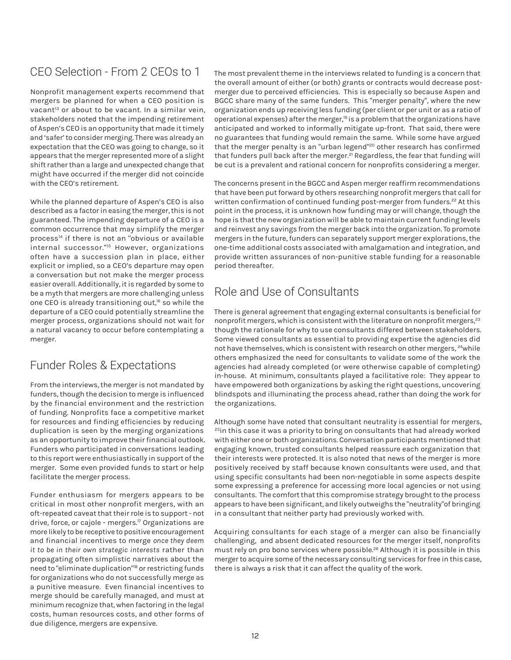## CEO Selection - From 2 CEOs to 1

Nonprofit management experts recommend that mergers be planned for when a CEO position is vacant<sup>13</sup> or about to be vacant. In a similar vein, stakeholders noted that the impending retirement of Aspen's CEO is an opportunity that made it timely and 'safer' to consider merging. There was already an expectation that the CEO was going to change, so it appears that the merger represented more of a slight shift rather than a large and unexpected change that might have occurred if the merger did not coincide with the CEO's retirement.

While the planned departure of Aspen's CEO is also described as a factor in easing the merger, this is not guaranteed. The impending departure of a CEO is a common occurrence that may simplify the merger process<sup>14</sup> if there is not an "obvious or available internal successor."15 However, organizations often have a succession plan in place, either explicit or implied, so a CEO's departure may open a conversation but not make the merger process easier overall. Additionally, it is regarded by some to be a myth that mergers are more challenging unless one CEO is already transitioning out,<sup>16</sup> so while the departure of a CEO could potentially streamline the merger process, organizations should not wait for a natural vacancy to occur before contemplating a merger.

## Funder Roles & Expectations

From the interviews, the merger is not mandated by funders, though the decision to merge is influenced by the financial environment and the restriction of funding. Nonprofits face a competitive market for resources and finding efficiencies by reducing duplication is seen by the merging organizations as an opportunity to improve their financial outlook. Funders who participated in conversations leading to this report were enthusiastically in support of the merger. Some even provided funds to start or help facilitate the merger process.

Funder enthusiasm for mergers appears to be critical in most other nonprofit mergers, with an oft-repeated caveat that their role is to support - not drive, force, or cajole - mergers.<sup>17</sup> Organizations are more likely to be receptive to positive encouragement and financial incentives to merge *once they deem it to be in their own strategic interests* rather than propagating often simplistic narratives about the need to "eliminate duplication"<sup>8</sup> or restricting funds for organizations who do not successfully merge as a punitive measure. Even financial incentives to merge should be carefully managed, and must at minimum recognize that, when factoring in the legal costs, human resources costs, and other forms of due diligence, mergers are expensive.

The most prevalent theme in the interviews related to funding is a concern that the overall amount of either (or both) grants or contracts would decrease postmerger due to perceived efficiencies. This is especially so because Aspen and BGCC share many of the same funders. This "merger penalty", where the new organization ends up receiving less funding (per client or per unit or as a ratio of operational expenses) after the merger,<sup>19</sup> is a problem that the organizations have anticipated and worked to informally mitigate up-front. That said, there were no guarantees that funding would remain the same. While some have argued that the merger penalty is an "urban legend"<sup>20</sup> other research has confirmed that funders pull back after the merger.<sup>21</sup> Regardless, the fear that funding will be cut is a prevalent and rational concern for nonprofits considering a merger.

The concerns present in the BGCC and Aspen merger reaffirm recommendations that have been put forward by others researching nonprofit mergers that call for written confirmation of continued funding post-merger from funders.<sup>22</sup> At this point in the process, it is unknown how funding may or will change, though the hope is that the new organization will be able to maintain current funding levels and reinvest any savings from the merger back into the organization. To promote mergers in the future, funders can separately support merger explorations, the one-time additional costs associated with amalgamation and integration, and provide written assurances of non-punitive stable funding for a reasonable period thereafter.

### Role and Use of Consultants

There is general agreement that engaging external consultants is beneficial for nonprofit mergers, which is consistent with the literature on nonprofit mergers,<sup>23</sup> though the rationale for why to use consultants differed between stakeholders. Some viewed consultants as essential to providing expertise the agencies did not have themselves, which is consistent with research on other mergers, <sup>24</sup>while others emphasized the need for consultants to validate some of the work the agencies had already completed (or were otherwise capable of completing) in-house. At minimum, consultants played a facilitative role: They appear to have empowered both organizations by asking the right questions, uncovering blindspots and illuminating the process ahead, rather than doing the work for the organizations.

Although some have noted that consultant neutrality is essential for mergers, <sup>25</sup>in this case it was a priority to bring on consultants that had already worked with either one or both organizations. Conversation participants mentioned that engaging known, trusted consultants helped reassure each organization that their interests were protected. It is also noted that news of the merger is more positively received by staff because known consultants were used, and that using specific consultants had been non-negotiable in some aspects despite some expressing a preference for accessing more local agencies or not using consultants. The comfort that this compromise strategy brought to the process appears to have been significant, and likely outweighs the "neutrality"of bringing in a consultant that neither party had previously worked with.

Acquiring consultants for each stage of a merger can also be financially challenging, and absent dedicated resources for the merger itself, nonprofits must rely on pro bono services where possible.<sup>26</sup> Although it is possible in this merger to acquire some of the necessary consulting services for free in this case, there is always a risk that it can affect the quality of the work.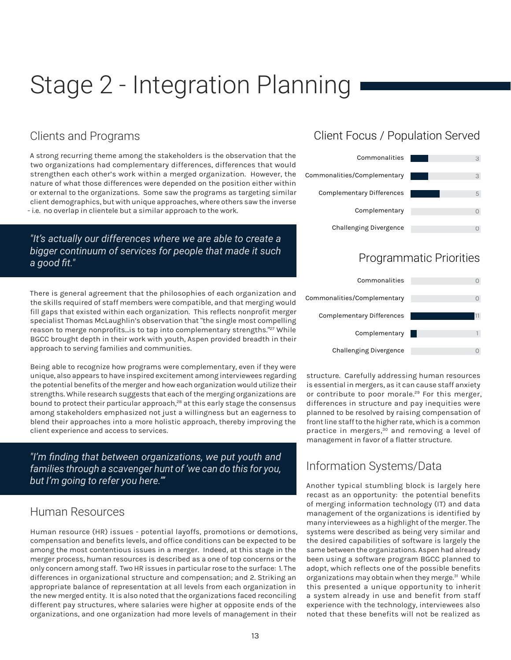## Stage 2 - Integration Planning

#### Clients and Programs

A strong recurring theme among the stakeholders is the observation that the two organizations had complementary differences, differences that would strengthen each other's work within a merged organization. However, the nature of what those differences were depended on the position either within or external to the organizations. Some saw the programs as targeting similar client demographics, but with unique approaches, where others saw the inverse - i.e. no overlap in clientele but a similar approach to the work.

#### *"It's actually our differences where we are able to create a bigger continuum of services for people that made it such a good fit."*

There is general agreement that the philosophies of each organization and the skills required of staff members were compatible, and that merging would fill gaps that existed within each organization. This reflects nonprofit merger specialist Thomas McLaughlin's observation that "the single most compelling reason to merge nonprofits...is to tap into complementary strengths."<sup>27</sup> While BGCC brought depth in their work with youth, Aspen provided breadth in their approach to serving families and communities.

Being able to recognize how programs were complementary, even if they were unique, also appears to have inspired excitement among interviewees regarding the potential benefits of the merger and how each organization would utilize their strengths. While research suggests that each of the merging organizations are bound to protect their particular approach,<sup>28</sup> at this early stage the consensus among stakeholders emphasized not just a willingness but an eagerness to blend their approaches into a more holistic approach, thereby improving the client experience and access to services.

*"I'm finding that between organizations, we put youth and families through a scavenger hunt of 'we can do this for you, but I'm going to refer you here.'"*

#### Human Resources

Human resource (HR) issues - potential layoffs, promotions or demotions, compensation and benefits levels, and office conditions can be expected to be among the most contentious issues in a merger. Indeed, at this stage in the merger process, human resources is described as a one of top concerns or the only concern among staff. Two HR issues in particular rose to the surface: 1. The differences in organizational structure and compensation; and 2. Striking an appropriate balance of representation at all levels from each organization in the new merged entity. It is also noted that the organizations faced reconciling different pay structures, where salaries were higher at opposite ends of the organizations, and one organization had more levels of management in their

## Client Focus / Population Served



### Programmatic Priorities



structure. Carefully addressing human resources is essential in mergers, as it can cause staff anxiety or contribute to poor morale.<sup>29</sup> For this merger, differences in structure and pay inequities were planned to be resolved by raising compensation of front line staff to the higher rate, which is a common practice in mergers,30 and removing a level of management in favor of a flatter structure.

#### Information Systems/Data

Another typical stumbling block is largely here recast as an opportunity: the potential benefits of merging information technology (IT) and data management of the organizations is identified by many interviewees as a highlight of the merger. The systems were described as being very similar and the desired capabilities of software is largely the same between the organizations. Aspen had already been using a software program BGCC planned to adopt, which reflects one of the possible benefits organizations may obtain when they merge.<sup>31</sup> While this presented a unique opportunity to inherit a system already in use and benefit from staff experience with the technology, interviewees also noted that these benefits will not be realized as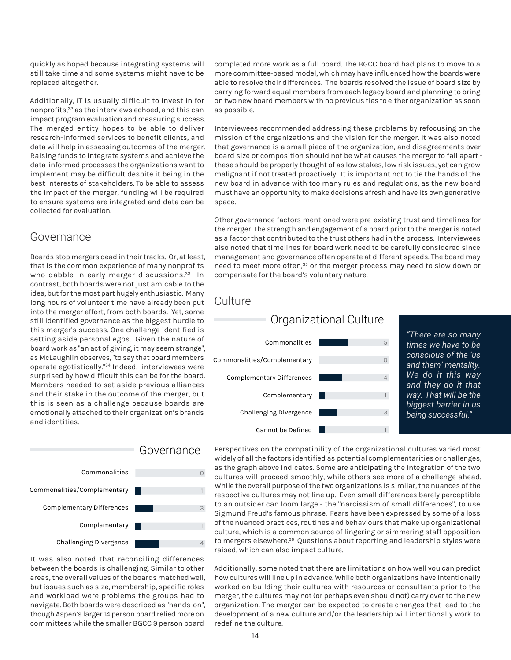quickly as hoped because integrating systems will still take time and some systems might have to be replaced altogether.

Additionally, IT is usually difficult to invest in for nonprofits,32 as the interviews echoed, and this can impact program evaluation and measuring success. The merged entity hopes to be able to deliver research-informed services to benefit clients, and data will help in assessing outcomes of the merger. Raising funds to integrate systems and achieve the data-informed processes the organizations want to implement may be difficult despite it being in the best interests of stakeholders. To be able to assess the impact of the merger, funding will be required to ensure systems are integrated and data can be collected for evaluation.

#### Governance

Boards stop mergers dead in their tracks. Or, at least, that is the common experience of many nonprofits who dabble in early merger discussions.<sup>33</sup> In contrast, both boards were not just amicable to the idea, but for the most part hugely enthusiastic. Many long hours of volunteer time have already been put into the merger effort, from both boards. Yet, some still identified governance as the biggest hurdle to this merger's success. One challenge identified is setting aside personal egos. Given the nature of board work as "an act of giving, it may seem strange", as McLaughlin observes, "to say that board members operate egotistically."34 Indeed, interviewees were surprised by how difficult this can be for the board. Members needed to set aside previous alliances and their stake in the outcome of the merger, but this is seen as a challenge because boards are emotionally attached to their organization's brands and identities.



It was also noted that reconciling differences between the boards is challenging. Similar to other areas, the overall values of the boards matched well, but issues such as size, membership, specific roles and workload were problems the groups had to navigate. Both boards were described as "hands-on", though Aspen's larger 14 person board relied more on committees while the smaller BGCC 9 person board

completed more work as a full board. The BGCC board had plans to move to a more committee-based model, which may have influenced how the boards were able to resolve their differences. The boards resolved the issue of board size by carrying forward equal members from each legacy board and planning to bring on two new board members with no previous ties to either organization as soon as possible.

Interviewees recommended addressing these problems by refocusing on the mission of the organizations and the vision for the merger. It was also noted that governance is a small piece of the organization, and disagreements over board size or composition should not be what causes the merger to fall apart these should be properly thought of as low stakes, low risk issues, yet can grow malignant if not treated proactively. It is important not to tie the hands of the new board in advance with too many rules and regulations, as the new board must have an opportunity to make decisions afresh and have its own generative space.

Other governance factors mentioned were pre-existing trust and timelines for the merger. The strength and engagement of a board prior to the merger is noted as a factor that contributed to the trust others had in the process. Interviewees also noted that timelines for board work need to be carefully considered since management and governance often operate at different speeds. The board may need to meet more often,<sup>35</sup> or the merger process may need to slow down or compensate for the board's voluntary nature.

5

 $\Omega$ 

 $\Delta$ 

1

3

1



Commonalities/Complementary

Complementary Differences

Challenging Divergence

Complementary

Cannot be Defined

*"There are so many times we have to be conscious of the 'us and them' mentality. We do it this way and they do it that way. That will be the biggest barrier in us being successful."*

Perspectives on the compatibility of the organizational cultures varied most widely of all the factors identified as potential complementarities or challenges, as the graph above indicates. Some are anticipating the integration of the two cultures will proceed smoothly, while others see more of a challenge ahead. While the overall purpose of the two organizations is similar, the nuances of the respective cultures may not line up. Even small differences barely perceptible to an outsider can loom large - the "narcissism of small differences", to use Sigmund Freud's famous phrase. Fears have been expressed by some of a loss of the nuanced practices, routines and behaviours that make up organizational culture, which is a common source of lingering or simmering staff opposition to mergers elsewhere.<sup>36</sup> Questions about reporting and leadership styles were raised, which can also impact culture.

Additionally, some noted that there are limitations on how well you can predict how cultures will line up in advance. While both organizations have intentionally worked on building their cultures with resources or consultants prior to the merger, the cultures may not (or perhaps even should not) carry over to the new organization. The merger can be expected to create changes that lead to the development of a new culture and/or the leadership will intentionally work to redefine the culture.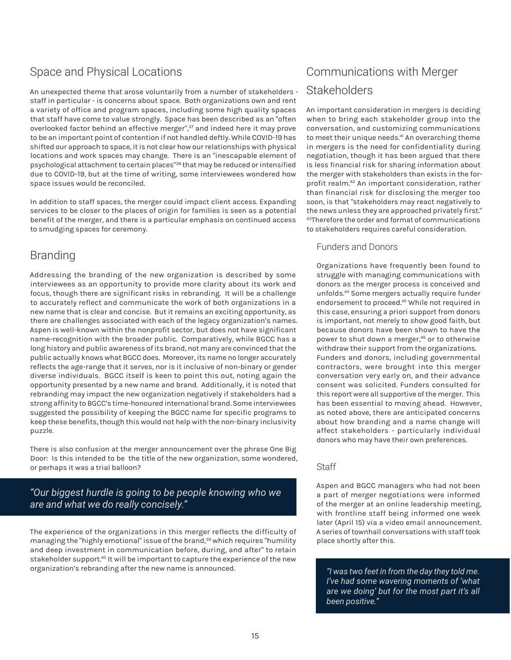## Space and Physical Locations

An unexpected theme that arose voluntarily from a number of stakeholders staff in particular - is concerns about space. Both organizations own and rent a variety of office and program spaces, including some high quality spaces that staff have come to value strongly. Space has been described as an "often overlooked factor behind an effective merger",<sup>37</sup> and indeed here it may prove to be an important point of contention if not handled deftly. While COVID-19 has shifted our approach to space, it is not clear how our relationships with physical locations and work spaces may change. There is an "inescapable element of psychological attachment to certain places"<sup>38</sup> that may be reduced or intensified due to COVID-19, but at the time of writing, some interviewees wondered how space issues would be reconciled.

In addition to staff spaces, the merger could impact client access. Expanding services to be closer to the places of origin for families is seen as a potential benefit of the merger, and there is a particular emphasis on continued access to smudging spaces for ceremony.

### Branding

Addressing the branding of the new organization is described by some interviewees as an opportunity to provide more clarity about its work and focus, though there are significant risks in rebranding. It will be a challenge to accurately reflect and communicate the work of both organizations in a new name that is clear and concise. But it remains an exciting opportunity, as there are challenges associated with each of the legacy organization's names. Aspen is well-known within the nonprofit sector, but does not have significant name-recognition with the broader public. Comparatively, while BGCC has a long history and public awareness of its brand, not many are convinced that the public actually knows what BGCC does. Moreover, its name no longer accurately reflects the age-range that it serves, nor is it inclusive of non-binary or gender diverse individuals. BGCC itself is keen to point this out, noting again the opportunity presented by a new name and brand. Additionally, it is noted that rebranding may impact the new organization negatively if stakeholders had a strong affinity to BGCC's time-honoured international brand. Some interviewees suggested the possibility of keeping the BGCC name for specific programs to keep these benefits, though this would not help with the non-binary inclusivity puzzle.

There is also confusion at the merger announcement over the phrase One Big Door: Is this intended to be the title of the new organization, some wondered, or perhaps it was a trial balloon?

#### *"Our biggest hurdle is going to be people knowing who we are and what we do really concisely."*

The experience of the organizations in this merger reflects the difficulty of managing the "highly emotional" issue of the brand,<sup>39</sup> which requires "humility and deep investment in communication before, during, and after" to retain stakeholder support.<sup>40</sup> It will be important to capture the experience of the new organization's rebranding after the new name is announced.

## Communications with Merger Stakeholders

An important consideration in mergers is deciding when to bring each stakeholder group into the conversation, and customizing communications to meet their unique needs.<sup>41</sup> An overarching theme in mergers is the need for confidentiality during negotiation, though it has been argued that there is less financial risk for sharing information about the merger with stakeholders than exists in the forprofit realm.42 An important consideration, rather than financial risk for disclosing the merger too soon, is that "stakeholders may react negatively to the news unless they are approached privately first." 43Therefore the order and format of communications to stakeholders requires careful consideration.

#### Funders and Donors

Organizations have frequently been found to struggle with managing communications with donors as the merger process is conceived and unfolds.44 Some mergers actually require funder endorsement to proceed.<sup>45</sup> While not required in this case, ensuring a priori support from donors is important, not merely to show good faith, but because donors have been shown to have the power to shut down a merger,<sup>46</sup> or to otherwise withdraw their support from the organizations. Funders and donors, including governmental contractors, were brought into this merger conversation very early on, and their advance consent was solicited. Funders consulted for this report were all supportive of the merger. This has been essential to moving ahead. However, as noted above, there are anticipated concerns about how branding and a name change will affect stakeholders - particularly individual donors who may have their own preferences.

#### **Staff**

Aspen and BGCC managers who had not been a part of merger negotiations were informed of the merger at an online leadership meeting, with frontline staff being informed one week later (April 15) via a video email announcement. A series of townhall conversations with staff took place shortly after this.

*"I was two feet in from the day they told me. I've had some wavering moments of 'what are we doing' but for the most part it's all been positive."*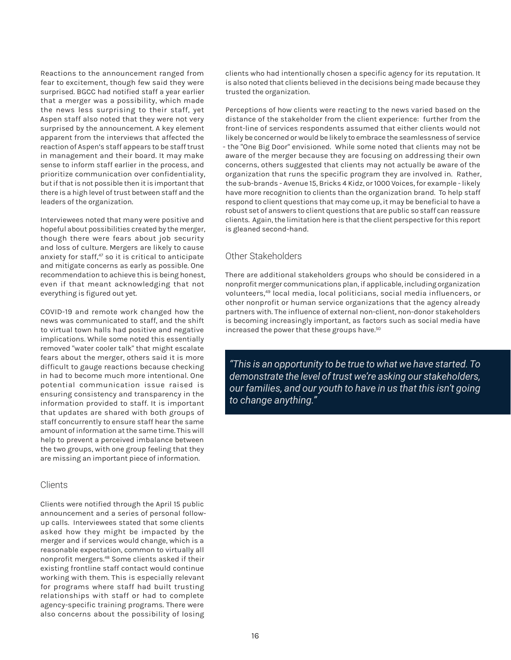Reactions to the announcement ranged from fear to excitement, though few said they were surprised. BGCC had notified staff a year earlier that a merger was a possibility, which made the news less surprising to their staff, yet Aspen staff also noted that they were not very surprised by the announcement. A key element apparent from the interviews that affected the reaction of Aspen's staff appears to be staff trust in management and their board. It may make sense to inform staff earlier in the process, and prioritize communication over confidentiality, but if that is not possible then it is important that there is a high level of trust between staff and the leaders of the organization.

Interviewees noted that many were positive and hopeful about possibilities created by the merger, though there were fears about job security and loss of culture. Mergers are likely to cause anxiety for staff,<sup>47</sup> so it is critical to anticipate and mitigate concerns as early as possible. One recommendation to achieve this is being honest, even if that meant acknowledging that not everything is figured out yet.

COVID-19 and remote work changed how the news was communicated to staff, and the shift to virtual town halls had positive and negative implications. While some noted this essentially removed "water cooler talk" that might escalate fears about the merger, others said it is more difficult to gauge reactions because checking in had to become much more intentional. One potential communication issue raised is ensuring consistency and transparency in the information provided to staff. It is important that updates are shared with both groups of staff concurrently to ensure staff hear the same amount of information at the same time. This will help to prevent a perceived imbalance between the two groups, with one group feeling that they are missing an important piece of information.

#### Clients

Clients were notified through the April 15 public announcement and a series of personal followup calls. Interviewees stated that some clients asked how they might be impacted by the merger and if services would change, which is a reasonable expectation, common to virtually all nonprofit mergers.48 Some clients asked if their existing frontline staff contact would continue working with them. This is especially relevant for programs where staff had built trusting relationships with staff or had to complete agency-specific training programs. There were also concerns about the possibility of losing

clients who had intentionally chosen a specific agency for its reputation. It is also noted that clients believed in the decisions being made because they trusted the organization.

Perceptions of how clients were reacting to the news varied based on the distance of the stakeholder from the client experience: further from the front-line of services respondents assumed that either clients would not likely be concerned or would be likely to embrace the seamlessness of service - the "One Big Door" envisioned. While some noted that clients may not be aware of the merger because they are focusing on addressing their own concerns, others suggested that clients may not actually be aware of the organization that runs the specific program they are involved in. Rather, the sub-brands - Avenue 15, Bricks 4 Kidz, or 1000 Voices, for example - likely have more recognition to clients than the organization brand. To help staff respond to client questions that may come up, it may be beneficial to have a robust set of answers to client questions that are public so staff can reassure clients. Again, the limitation here is that the client perspective for this report is gleaned second-hand.

#### Other Stakeholders

There are additional stakeholders groups who should be considered in a nonprofit merger communications plan, if applicable, including organization volunteers,49 local media, local politicians, social media influencers, or other nonprofit or human service organizations that the agency already partners with. The influence of external non-client, non-donor stakeholders is becoming increasingly important, as factors such as social media have increased the power that these groups have.<sup>50</sup>

*"This is an opportunity to be true to what we have started. To demonstrate the level of trust we're asking our stakeholders, our families, and our youth to have in us that this isn't going to change anything."*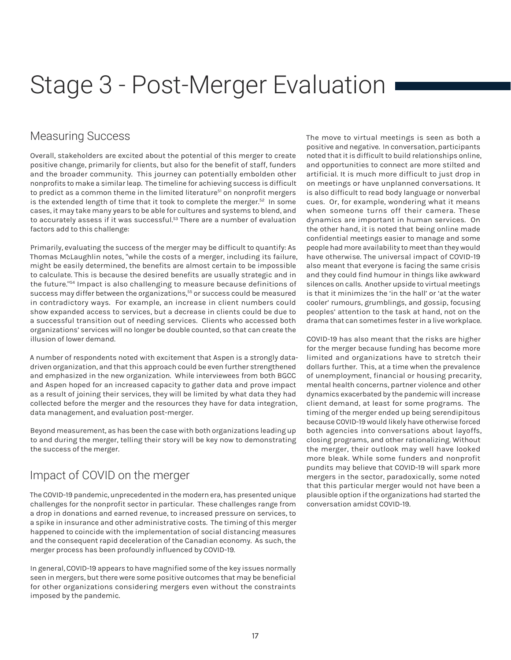## Stage 3 - Post-Merger Evaluation

#### Measuring Success

Overall, stakeholders are excited about the potential of this merger to create positive change, primarily for clients, but also for the benefit of staff, funders and the broader community. This journey can potentially embolden other nonprofits to make a similar leap. The timeline for achieving success is difficult to predict as a common theme in the limited literature<sup>51</sup> on nonprofit mergers is the extended length of time that it took to complete the merger.<sup>52</sup> In some cases, it may take many years to be able for cultures and systems to blend, and to accurately assess if it was successful.<sup>53</sup> There are a number of evaluation factors add to this challenge:

Primarily, evaluating the success of the merger may be difficult to quantify: As Thomas McLaughlin notes, "while the costs of a merger, including its failure, might be easily determined, the benefits are almost certain to be impossible to calculate. This is because the desired benefits are usually strategic and in the future."54 Impact is also challenging to measure because definitions of success may differ between the organizations,<sup>55</sup> or success could be measured in contradictory ways. For example, an increase in client numbers could show expanded access to services, but a decrease in clients could be due to a successful transition out of needing services. Clients who accessed both organizations' services will no longer be double counted, so that can create the illusion of lower demand.

A number of respondents noted with excitement that Aspen is a strongly datadriven organization, and that this approach could be even further strengthened and emphasized in the new organization. While interviewees from both BGCC and Aspen hoped for an increased capacity to gather data and prove impact as a result of joining their services, they will be limited by what data they had collected before the merger and the resources they have for data integration, data management, and evaluation post-merger.

Beyond measurement, as has been the case with both organizations leading up to and during the merger, telling their story will be key now to demonstrating the success of the merger.

## Impact of COVID on the merger

The COVID-19 pandemic, unprecedented in the modern era, has presented unique challenges for the nonprofit sector in particular. These challenges range from a drop in donations and earned revenue, to increased pressure on services, to a spike in insurance and other administrative costs. The timing of this merger happened to coincide with the implementation of social distancing measures and the consequent rapid deceleration of the Canadian economy. As such, the merger process has been profoundly influenced by COVID-19.

In general, COVID-19 appears to have magnified some of the key issues normally seen in mergers, but there were some positive outcomes that may be beneficial for other organizations considering mergers even without the constraints imposed by the pandemic.

The move to virtual meetings is seen as both a positive and negative. In conversation, participants noted that it is difficult to build relationships online, and opportunities to connect are more stilted and artificial. It is much more difficult to just drop in on meetings or have unplanned conversations. It is also difficult to read body language or nonverbal cues. Or, for example, wondering what it means when someone turns off their camera. These dynamics are important in human services. On the other hand, it is noted that being online made confidential meetings easier to manage and some people had more availability to meet than they would have otherwise. The universal impact of COVID-19 also meant that everyone is facing the same crisis and they could find humour in things like awkward silences on calls. Another upside to virtual meetings is that it minimizes the 'in the hall' or 'at the water cooler' rumours, grumblings, and gossip, focusing peoples' attention to the task at hand, not on the drama that can sometimes fester in a live workplace.

COVID-19 has also meant that the risks are higher for the merger because funding has become more limited and organizations have to stretch their dollars further. This, at a time when the prevalence of unemployment, financial or housing precarity, mental health concerns, partner violence and other dynamics exacerbated by the pandemic will increase client demand, at least for some programs. The timing of the merger ended up being serendipitous because COVID-19 would likely have otherwise forced both agencies into conversations about layoffs, closing programs, and other rationalizing. Without the merger, their outlook may well have looked more bleak. While some funders and nonprofit pundits may believe that COVID-19 will spark more mergers in the sector, paradoxically, some noted that this particular merger would not have been a plausible option if the organizations had started the conversation amidst COVID-19.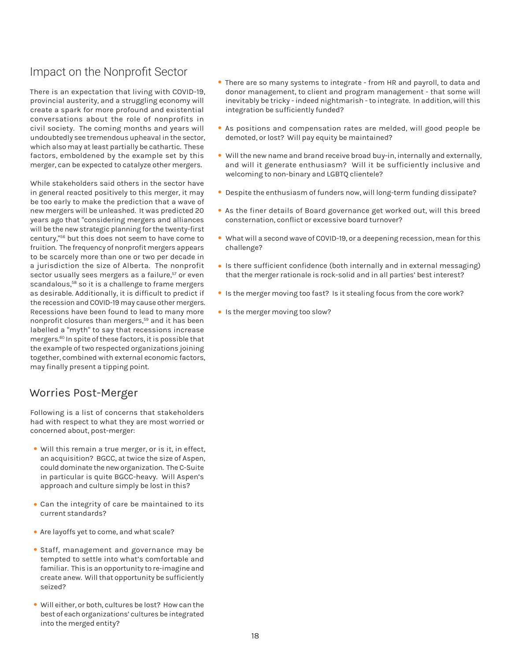### Impact on the Nonprofit Sector

There is an expectation that living with COVID-19, provincial austerity, and a struggling economy will create a spark for more profound and existential conversations about the role of nonprofits in civil society. The coming months and years will undoubtedly see tremendous upheaval in the sector, which also may at least partially be cathartic. These factors, emboldened by the example set by this merger, can be expected to catalyze other mergers.

While stakeholders said others in the sector have in general reacted positively to this merger, it may be too early to make the prediction that a wave of new mergers will be unleashed. It was predicted 20 years ago that "considering mergers and alliances will be the new strategic planning for the twenty-first century,"56 but this does not seem to have come to fruition. The frequency of nonprofit mergers appears to be scarcely more than one or two per decade in a jurisdiction the size of Alberta. The nonprofit sector usually sees mergers as a failure,<sup>57</sup> or even scandalous,<sup>58</sup> so it is a challenge to frame mergers as desirable. Additionally, it is difficult to predict if the recession and COVID-19 may cause other mergers. Recessions have been found to lead to many more nonprofit closures than mergers,<sup>59</sup> and it has been labelled a "myth" to say that recessions increase mergers.60 In spite of these factors, it is possible that the example of two respected organizations joining together, combined with external economic factors, may finally present a tipping point.

#### Worries Post-Merger

Following is a list of concerns that stakeholders had with respect to what they are most worried or concerned about, post-merger:

- Will this remain a true merger, or is it, in effect, an acquisition? BGCC, at twice the size of Aspen, could dominate the new organization. The C-Suite in particular is quite BGCC-heavy. Will Aspen's approach and culture simply be lost in this?
- Can the integrity of care be maintained to its current standards?
- Are layoffs yet to come, and what scale?
- Staff, management and governance may be tempted to settle into what's comfortable and familiar. This is an opportunity to re-imagine and create anew. Will that opportunity be sufficiently seized?
- Will either, or both, cultures be lost? How can the best of each organizations' cultures be integrated into the merged entity?
- There are so many systems to integrate from HR and payroll, to data and donor management, to client and program management - that some will inevitably be tricky - indeed nightmarish - to integrate. In addition, will this integration be sufficiently funded?
- As positions and compensation rates are melded, will good people be demoted, or lost? Will pay equity be maintained?
- Will the new name and brand receive broad buy-in, internally and externally, and will it generate enthusiasm? Will it be sufficiently inclusive and welcoming to non-binary and LGBTQ clientele?
- Despite the enthusiasm of funders now, will long-term funding dissipate?
- As the finer details of Board governance get worked out, will this breed consternation, conflict or excessive board turnover?
- What will a second wave of COVID-19, or a deepening recession, mean for this challenge?
- Is there sufficient confidence (both internally and in external messaging) that the merger rationale is rock-solid and in all parties' best interest?
- Is the merger moving too fast? Is it stealing focus from the core work?
- Is the merger moving too slow?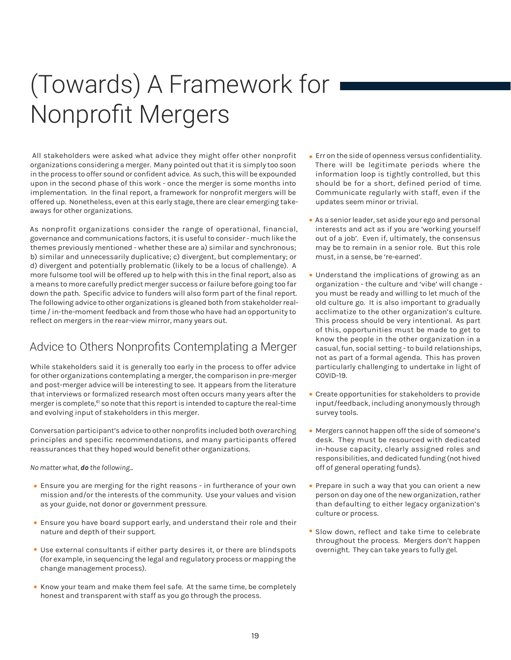# (Towards) A Framework for Nonprofit Mergers

 All stakeholders were asked what advice they might offer other nonprofit organizations considering a merger. Many pointed out that it is simply too soon in the process to offer sound or confident advice. As such, this will be expounded upon in the second phase of this work - once the merger is some months into implementation. In the final report, a framework for nonprofit mergers will be offered up. Nonetheless, even at this early stage, there are clear emerging takeaways for other organizations.

As nonprofit organizations consider the range of operational, financial, governance and communications factors, it is useful to consider - much like the themes previously mentioned - whether these are a) similar and synchronous; b) similar and unnecessarily duplicative; c) divergent, but complementary; or d) divergent and potentially problematic (likely to be a locus of challenge). A more fulsome tool will be offered up to help with this in the final report, also as a means to more carefully predict merger success or failure before going too far down the path. Specific advice to funders will also form part of the final report. The following advice to other organizations is gleaned both from stakeholder realtime / in-the-moment feedback and from those who have had an opportunity to reflect on mergers in the rear-view mirror, many years out.

## Advice to Others Nonprofits Contemplating a Merger

While stakeholders said it is generally too early in the process to offer advice for other organizations contemplating a merger, the comparison in pre-merger and post-merger advice will be interesting to see. It appears from the literature that interviews or formalized research most often occurs many years after the merger is complete,<sup>61</sup> so note that this report is intended to capture the real-time and evolving input of stakeholders in this merger.

Conversation participant's advice to other nonprofits included both overarching principles and specific recommendations, and many participants offered reassurances that they hoped would benefit other organizations.

*No matter what, do the following...*

- Ensure you are merging for the right reasons in furtherance of your own mission and/or the interests of the community. Use your values and vision as your guide, not donor or government pressure.
- Ensure you have board support early, and understand their role and their nature and depth of their support.
- Use external consultants if either party desires it, or there are blindspots (for example, in sequencing the legal and regulatory process or mapping the change management process).
- Know your team and make them feel safe. At the same time, be completely honest and transparent with staff as you go through the process.
- Err on the side of openness versus confidentiality. There will be legitimate periods where the information loop is tightly controlled, but this should be for a short, defined period of time. Communicate regularly with staff, even if the updates seem minor or trivial.
- As a senior leader, set aside your ego and personal interests and act as if you are 'working yourself out of a job'. Even if, ultimately, the consensus may be to remain in a senior role. But this role must, in a sense, be 're-earned'.
- Understand the implications of growing as an organization - the culture and 'vibe' will change you must be ready and willing to let much of the old culture go. It is also important to gradually acclimatize to the other organization's culture. This process should be very intentional. As part of this, opportunities must be made to get to know the people in the other organization in a casual, fun, social setting - to build relationships, not as part of a formal agenda. This has proven particularly challenging to undertake in light of COVID-19.
- Create opportunities for stakeholders to provide input/feedback, including anonymously through survey tools.
- Mergers cannot happen off the side of someone's desk. They must be resourced with dedicated in-house capacity, clearly assigned roles and responsibilities, and dedicated funding (not hived off of general operating funds).
- Prepare in such a way that you can orient a new person on day one of the new organization, rather than defaulting to either legacy organization's culture or process.
- Slow down, reflect and take time to celebrate throughout the process. Mergers don't happen overnight. They can take years to fully gel.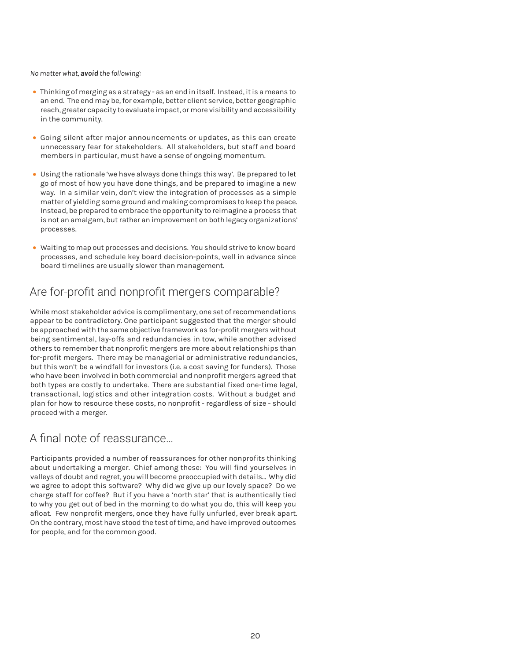#### *No matter what, avoid the following:*

- Thinking of merging as a strategy as an end in itself. Instead, it is a means to an end. The end may be, for example, better client service, better geographic reach, greater capacity to evaluate impact, or more visibility and accessibility in the community.
- Going silent after major announcements or updates, as this can create unnecessary fear for stakeholders. All stakeholders, but staff and board members in particular, must have a sense of ongoing momentum.
- Using the rationale 'we have always done things this way'. Be prepared to let go of most of how you have done things, and be prepared to imagine a new way. In a similar vein, don't view the integration of processes as a simple matter of yielding some ground and making compromises to keep the peace. Instead, be prepared to embrace the opportunity to reimagine a process that is not an amalgam, but rather an improvement on both legacy organizations' processes.
- Waiting to map out processes and decisions. You should strive to know board processes, and schedule key board decision-points, well in advance since board timelines are usually slower than management.

### Are for-profit and nonprofit mergers comparable?

While most stakeholder advice is complimentary, one set of recommendations appear to be contradictory. One participant suggested that the merger should be approached with the same objective framework as for-profit mergers without being sentimental, lay-offs and redundancies in tow, while another advised others to remember that nonprofit mergers are more about relationships than for-profit mergers. There may be managerial or administrative redundancies, but this won't be a windfall for investors (i.e. a cost saving for funders). Those who have been involved in both commercial and nonprofit mergers agreed that both types are costly to undertake. There are substantial fixed one-time legal, transactional, logistics and other integration costs. Without a budget and plan for how to resource these costs, no nonprofit - regardless of size - should proceed with a merger.

#### A final note of reassurance…

Participants provided a number of reassurances for other nonprofits thinking about undertaking a merger. Chief among these: You will find yourselves in valleys of doubt and regret, you will become preoccupied with details... Why did we agree to adopt this software? Why did we give up our lovely space? Do we charge staff for coffee? But if you have a 'north star' that is authentically tied to why you get out of bed in the morning to do what you do, this will keep you afloat. Few nonprofit mergers, once they have fully unfurled, ever break apart. On the contrary, most have stood the test of time, and have improved outcomes for people, and for the common good.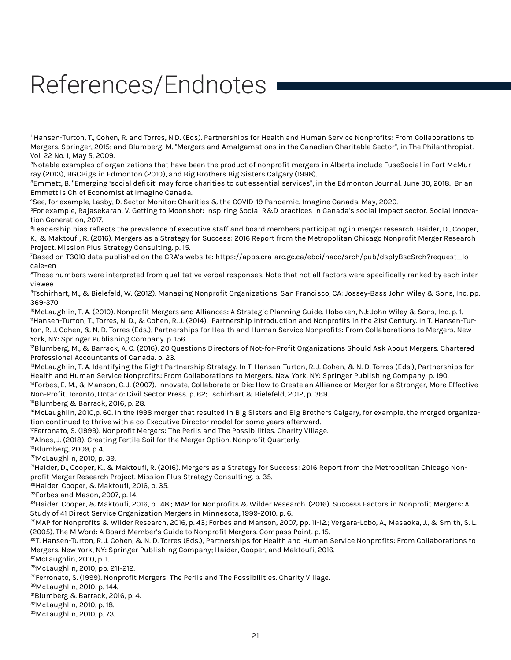# References/Endnotes

1 Hansen-Turton, T., Cohen, R. and Torres, N.D. (Eds). Partnerships for Health and Human Service Nonprofits: From Collaborations to Mergers. Springer, 2015; and Blumberg, M. "Mergers and Amalgamations in the Canadian Charitable Sector", in The Philanthropist. Vol. 22 No. 1, May 5, 2009.

<sup>2</sup>Notable examples of organizations that have been the product of nonprofit mergers in Alberta include FuseSocial in Fort McMurray (2013), BGCBigs in Edmonton (2010), and Big Brothers Big Sisters Calgary (1998).

<sup>3</sup>Emmett, B. "Emerging 'social deficit' may force charities to cut essential services", in the Edmonton Journal. June 30, 2018. Brian Emmett is Chief Economist at Imagine Canada.

4 See, for example, Lasby, D. Sector Monitor: Charities & the COVID-19 Pandemic. Imagine Canada. May, 2020.

5 For example, Rajasekaran, V. Getting to Moonshot: Inspiring Social R&D practices in Canada's social impact sector. Social Innovation Generation, 2017.

<sup>6</sup>Leadership bias reflects the prevalence of executive staff and board members participating in merger research. Haider, D., Cooper, K., & Maktoufi, R. (2016). Mergers as a Strategy for Success: 2016 Report from the Metropolitan Chicago Nonprofit Merger Research Project. Mission Plus Strategy Consulting. p. 15.

7 Based on T3010 data published on the CRA's website: https://apps.cra-arc.gc.ca/ebci/hacc/srch/pub/dsplyBscSrch?request\_locale=en

<sup>8</sup>These numbers were interpreted from qualitative verbal responses. Note that not all factors were specifically ranked by each interviewee.

9Tschirhart, M., & Bielefeld, W. (2012). Managing Nonprofit Organizations. San Francisco, CA: Jossey-Bass John Wiley & Sons, Inc. pp. 369-370

<sup>10</sup>McLaughlin, T. A. (2010). Nonprofit Mergers and Alliances: A Strategic Planning Guide. Hoboken, NJ: John Wiley & Sons, Inc. p. 1. 11Hansen-Turton, T., Torres, N. D., & Cohen, R. J. (2014). Partnership Introduction and Nonprofits in the 21st Century. In T. Hansen-Turton, R. J. Cohen, & N. D. Torres (Eds.), Partnerships for Health and Human Service Nonprofits: From Collaborations to Mergers. New York, NY: Springer Publishing Company. p. 156.

<sup>12</sup>Blumberg, M., & Barrack, A. C. (2016). 20 Questions Directors of Not-for-Profit Organizations Should Ask About Mergers. Chartered Professional Accountants of Canada. p. 23.

<sup>13</sup>McLaughlin, T. A. Identifying the Right Partnership Strategy. In T. Hansen-Turton, R. J. Cohen, & N. D. Torres (Eds.), Partnerships for Health and Human Service Nonprofits: From Collaborations to Mergers. New York, NY: Springer Publishing Company, p. 190.

<sup>14</sup>Forbes, E. M., & Manson, C. J. (2007). Innovate, Collaborate or Die: How to Create an Alliance or Merger for a Stronger, More Effective Non-Profit. Toronto, Ontario: Civil Sector Press. p. 62; Tschirhart & Bielefeld, 2012, p. 369.

<sup>15</sup>Blumberg & Barrack, 2016, p. 28.

<sup>16</sup>McLaughlin, 2010,p. 60. In the 1998 merger that resulted in Big Sisters and Big Brothers Calgary, for example, the merged organization continued to thrive with a co-Executive Director model for some years afterward.

<sup>17</sup>Ferronato, S. (1999). Nonprofit Mergers: The Perils and The Possibilities. Charity Village.

<sup>18</sup>Alnes, J. (2018). Creating Fertile Soil for the Merger Option. Nonprofit Quarterly.

19Blumberg, 2009, p 4.

20McLaughlin, 2010, p. 39.

<sup>21</sup>Haider, D., Cooper, K., & Maktoufi, R. (2016). Mergers as a Strategy for Success: 2016 Report from the Metropolitan Chicago Nonprofit Merger Research Project. Mission Plus Strategy Consulting. p. 35.

<sup>22</sup>Haider, Cooper, & Maktoufi, 2016, p. 35.

23Forbes and Mason, 2007, p. 14.

<sup>24</sup>Haider, Cooper, & Maktoufi, 2016, p. 48.; MAP for Nonprofits & Wilder Research. (2016). Success Factors in Nonprofit Mergers: A Study of 41 Direct Service Organization Mergers in Minnesota, 1999-2010. p. 6.

25MAP for Nonprofits & Wilder Research, 2016, p. 43; Forbes and Manson, 2007, pp. 11-12.; Vergara-Lobo, A., Masaoka, J., & Smith, S. L. (2005). The M Word: A Board Member's Guide to Nonprofit Mergers. Compass Point. p. 15.

26T. Hansen-Turton, R. J. Cohen, & N. D. Torres (Eds.), Partnerships for Health and Human Service Nonprofits: From Collaborations to Mergers. New York, NY: Springer Publishing Company; Haider, Cooper, and Maktoufi, 2016.

27McLaughlin, 2010, p. 1.

28McLaughlin, 2010, pp. 211-212.

 $29$ Ferronato, S. (1999). Nonprofit Mergers: The Perils and The Possibilities. Charity Village.

30McLaughlin, 2010, p. 144.

31Blumberg & Barrack, 2016, p. 4.

32McLaughlin, 2010, p. 18.

33 McLaughlin, 2010, p. 73.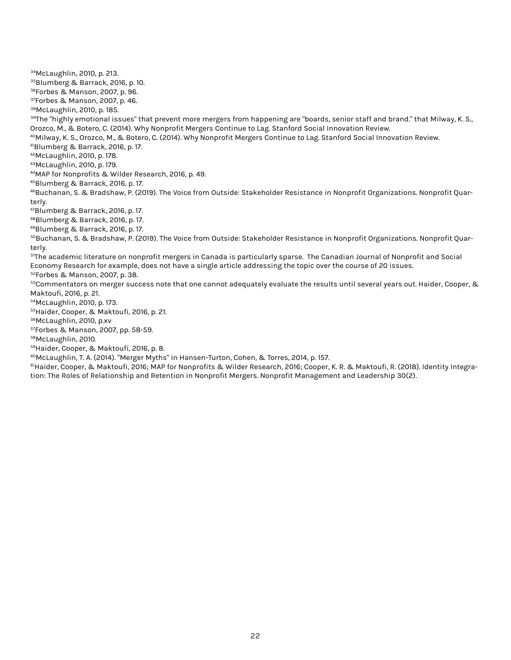34McLaughlin, 2010, p. 213. 35Blumberg & Barrack, 2016, p. 10. 36Forbes & Manson, 2007, p. 96. 37Forbes & Manson, 2007, p. 46. 38McLaughlin, 2010, p. 185.  $^{39}$ The "highly emotional issues" that prevent more mergers from happening are "boards, senior staff and brand." that Milway, K. S., Orozco, M., & Botero, C. (2014). Why Nonprofit Mergers Continue to Lag. Stanford Social Innovation Review. 40Milway, K. S., Orozco, M., & Botero, C. (2014). Why Nonprofit Mergers Continue to Lag. Stanford Social Innovation Review. 41Blumberg & Barrack, 2016, p. 17. 42McLaughlin, 2010, p. 178. 43McLaughlin, 2010, p. 179. 44MAP for Nonprofits & Wilder Research, 2016, p. 49. 45Blumberg & Barrack, 2016, p. 17. 46Buchanan, S. & Bradshaw, P. (2019). The Voice from Outside: Stakeholder Resistance in Nonprofit Organizations. Nonprofit Quarterly. 47Blumberg & Barrack, 2016, p. 17. 48Blumberg & Barrack, 2016, p. 17. 49Blumberg & Barrack, 2016, p. 17. 50Buchanan, S. & Bradshaw, P. (2019). The Voice from Outside: Stakeholder Resistance in Nonprofit Organizations. Nonprofit Quarterly. <sup>51</sup>The academic literature on nonprofit mergers in Canada is particularly sparse. The Canadian Journal of Nonprofit and Social Economy Research for example, does not have a single article addressing the topic over the course of 20 issues. 52Forbes & Manson, 2007, p. 38.  $^{53}$ Commentators on merger success note that one cannot adequately evaluate the results until several years out. Haider, Cooper, & Maktoufi, 2016, p. 21. 54McLaughlin, 2010, p. 173. 55Haider, Cooper, & Maktoufi, 2016, p. 21. 56McLaughlin, 2010, p.xv 57Forbes & Manson, 2007, pp. 58-59.

58McLaughlin, 2010.

59Haider, Cooper, & Maktoufi, 2016, p. 8.

 $60$ McLaughlin, T. A. (2014). "Merger Myths" in Hansen-Turton, Cohen, & Torres, 2014, p. 157.

61Haider, Cooper, & Maktoufi, 2016; MAP for Nonprofits & Wilder Research, 2016; Cooper, K. R. & Maktoufi, R. (2018). Identity Integration: The Roles of Relationship and Retention in Nonprofit Mergers. Nonprofit Management and Leadership 30(2).